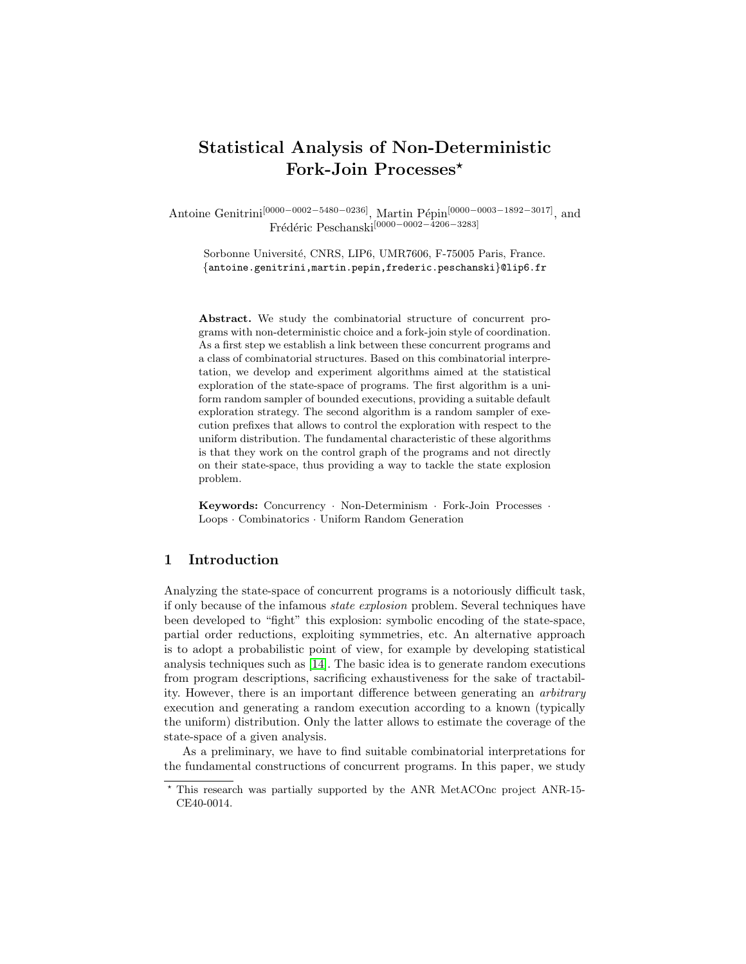# Statistical Analysis of Non-Deterministic Fork-Join Processes\*

Antoine Genitrini<sup>[0000–0002–5480–0236]</sup>, Martin Pépin<sup>[0000–0003–1892–3017]</sup>, and Frédéric Peschanski<sup>[0000–0002–4206–3283]</sup>

Sorbonne Université, CNRS, LIP6, UMR7606, F-75005 Paris, France. {antoine.genitrini,martin.pepin,frederic.peschanski}@lip6.fr

Abstract. We study the combinatorial structure of concurrent programs with non-deterministic choice and a fork-join style of coordination. As a first step we establish a link between these concurrent programs and a class of combinatorial structures. Based on this combinatorial interpretation, we develop and experiment algorithms aimed at the statistical exploration of the state-space of programs. The first algorithm is a uniform random sampler of bounded executions, providing a suitable default exploration strategy. The second algorithm is a random sampler of execution prefixes that allows to control the exploration with respect to the uniform distribution. The fundamental characteristic of these algorithms is that they work on the control graph of the programs and not directly on their state-space, thus providing a way to tackle the state explosion problem.

Keywords: Concurrency · Non-Determinism · Fork-Join Processes · Loops · Combinatorics · Uniform Random Generation

# 1 Introduction

Analyzing the state-space of concurrent programs is a notoriously difficult task, if only because of the infamous state explosion problem. Several techniques have been developed to "fight" this explosion: symbolic encoding of the state-space, partial order reductions, exploiting symmetries, etc. An alternative approach is to adopt a probabilistic point of view, for example by developing statistical analysis techniques such as [\[14\]](#page-18-0). The basic idea is to generate random executions from program descriptions, sacrificing exhaustiveness for the sake of tractability. However, there is an important difference between generating an arbitrary execution and generating a random execution according to a known (typically the uniform) distribution. Only the latter allows to estimate the coverage of the state-space of a given analysis.

As a preliminary, we have to find suitable combinatorial interpretations for the fundamental constructions of concurrent programs. In this paper, we study

<sup>?</sup> This research was partially supported by the ANR MetACOnc project ANR-15- CE40-0014.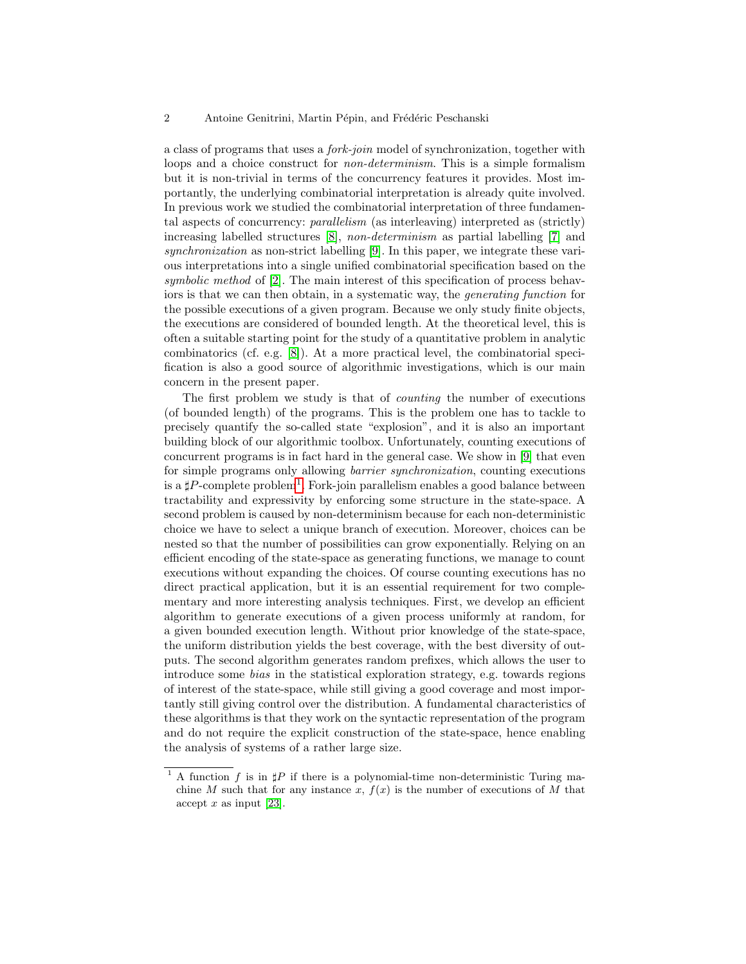a class of programs that uses a fork-join model of synchronization, together with loops and a choice construct for *non-determinism*. This is a simple formalism but it is non-trivial in terms of the concurrency features it provides. Most importantly, the underlying combinatorial interpretation is already quite involved. In previous work we studied the combinatorial interpretation of three fundamental aspects of concurrency: parallelism (as interleaving) interpreted as (strictly) increasing labelled structures [\[8\]](#page-18-1), non-determinism as partial labelling [\[7\]](#page-18-2) and synchronization as non-strict labelling [\[9\]](#page-18-3). In this paper, we integrate these various interpretations into a single unified combinatorial specification based on the symbolic method of [\[2\]](#page-18-4). The main interest of this specification of process behaviors is that we can then obtain, in a systematic way, the generating function for the possible executions of a given program. Because we only study finite objects, the executions are considered of bounded length. At the theoretical level, this is often a suitable starting point for the study of a quantitative problem in analytic combinatorics (cf. e.g. [\[8\]](#page-18-1)). At a more practical level, the combinatorial specification is also a good source of algorithmic investigations, which is our main concern in the present paper.

The first problem we study is that of counting the number of executions (of bounded length) of the programs. This is the problem one has to tackle to precisely quantify the so-called state "explosion", and it is also an important building block of our algorithmic toolbox. Unfortunately, counting executions of concurrent programs is in fact hard in the general case. We show in [\[9\]](#page-18-3) that even for simple programs only allowing barrier synchronization, counting executions is a  $\sharp P$ -complete problem<sup>[1](#page-1-0)</sup>. Fork-join parallelism enables a good balance between tractability and expressivity by enforcing some structure in the state-space. A second problem is caused by non-determinism because for each non-deterministic choice we have to select a unique branch of execution. Moreover, choices can be nested so that the number of possibilities can grow exponentially. Relying on an efficient encoding of the state-space as generating functions, we manage to count executions without expanding the choices. Of course counting executions has no direct practical application, but it is an essential requirement for two complementary and more interesting analysis techniques. First, we develop an efficient algorithm to generate executions of a given process uniformly at random, for a given bounded execution length. Without prior knowledge of the state-space, the uniform distribution yields the best coverage, with the best diversity of outputs. The second algorithm generates random prefixes, which allows the user to introduce some bias in the statistical exploration strategy, e.g. towards regions of interest of the state-space, while still giving a good coverage and most importantly still giving control over the distribution. A fundamental characteristics of these algorithms is that they work on the syntactic representation of the program and do not require the explicit construction of the state-space, hence enabling the analysis of systems of a rather large size.

<span id="page-1-0"></span><sup>&</sup>lt;sup>1</sup> A function f is in  $\sharp P$  if there is a polynomial-time non-deterministic Turing machine M such that for any instance x,  $f(x)$  is the number of executions of M that  $accept x as input [23].$  $accept x as input [23].$  $accept x as input [23].$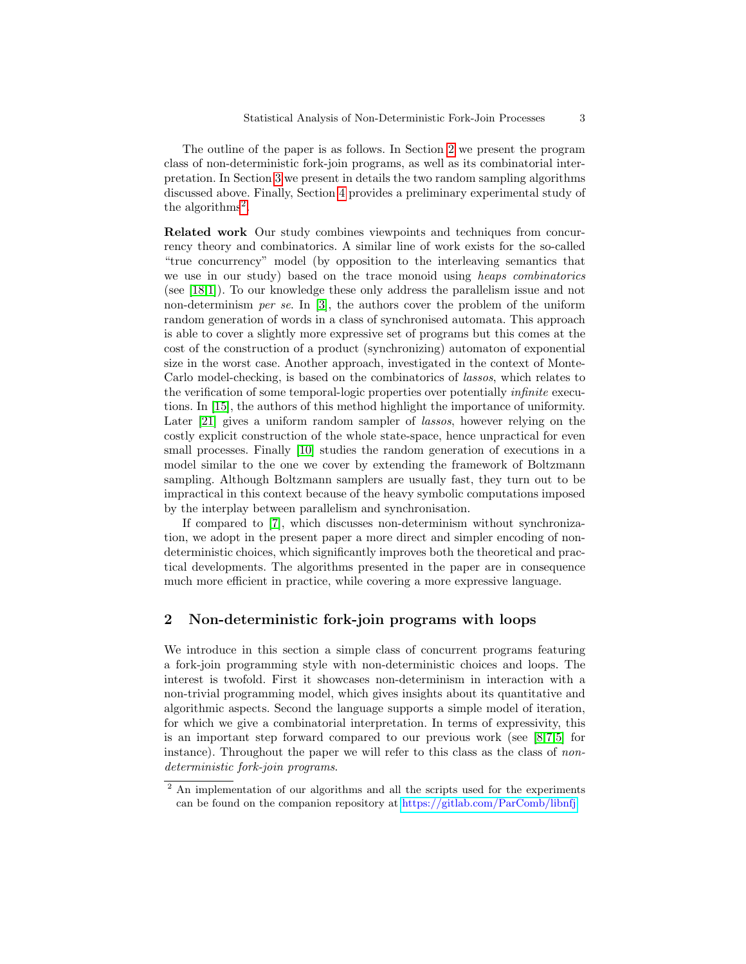The outline of the paper is as follows. In Section [2](#page-2-0) we present the program class of non-deterministic fork-join programs, as well as its combinatorial interpretation. In Section [3](#page-8-0) we present in details the two random sampling algorithms discussed above. Finally, Section [4](#page-14-0) provides a preliminary experimental study of the algorithms<sup>[2](#page-2-1)</sup>.

Related work Our study combines viewpoints and techniques from concurrency theory and combinatorics. A similar line of work exists for the so-called "true concurrency" model (by opposition to the interleaving semantics that we use in our study) based on the trace monoid using heaps combinatorics (see [\[18,](#page-18-5)[1\]](#page-18-6)). To our knowledge these only address the parallelism issue and not non-determinism per se. In [\[3\]](#page-18-7), the authors cover the problem of the uniform random generation of words in a class of synchronised automata. This approach is able to cover a slightly more expressive set of programs but this comes at the cost of the construction of a product (synchronizing) automaton of exponential size in the worst case. Another approach, investigated in the context of Monte-Carlo model-checking, is based on the combinatorics of lassos, which relates to the verification of some temporal-logic properties over potentially infinite executions. In [\[15\]](#page-18-8), the authors of this method highlight the importance of uniformity. Later [\[21\]](#page-19-1) gives a uniform random sampler of *lassos*, however relying on the costly explicit construction of the whole state-space, hence unpractical for even small processes. Finally [\[10\]](#page-18-9) studies the random generation of executions in a model similar to the one we cover by extending the framework of Boltzmann sampling. Although Boltzmann samplers are usually fast, they turn out to be impractical in this context because of the heavy symbolic computations imposed by the interplay between parallelism and synchronisation.

If compared to [\[7\]](#page-18-2), which discusses non-determinism without synchronization, we adopt in the present paper a more direct and simpler encoding of nondeterministic choices, which significantly improves both the theoretical and practical developments. The algorithms presented in the paper are in consequence much more efficient in practice, while covering a more expressive language.

# <span id="page-2-0"></span>2 Non-deterministic fork-join programs with loops

We introduce in this section a simple class of concurrent programs featuring a fork-join programming style with non-deterministic choices and loops. The interest is twofold. First it showcases non-determinism in interaction with a non-trivial programming model, which gives insights about its quantitative and algorithmic aspects. Second the language supports a simple model of iteration, for which we give a combinatorial interpretation. In terms of expressivity, this is an important step forward compared to our previous work (see [\[8,](#page-18-1)[7](#page-18-2)[,5\]](#page-18-10) for instance). Throughout the paper we will refer to this class as the class of nondeterministic fork-join programs.

<span id="page-2-1"></span><sup>&</sup>lt;sup>2</sup> An implementation of our algorithms and all the scripts used for the experiments can be found on the companion repository at [https://gitlab.com/ParComb/libnfj.](https://gitlab.com/ParComb/libnfj)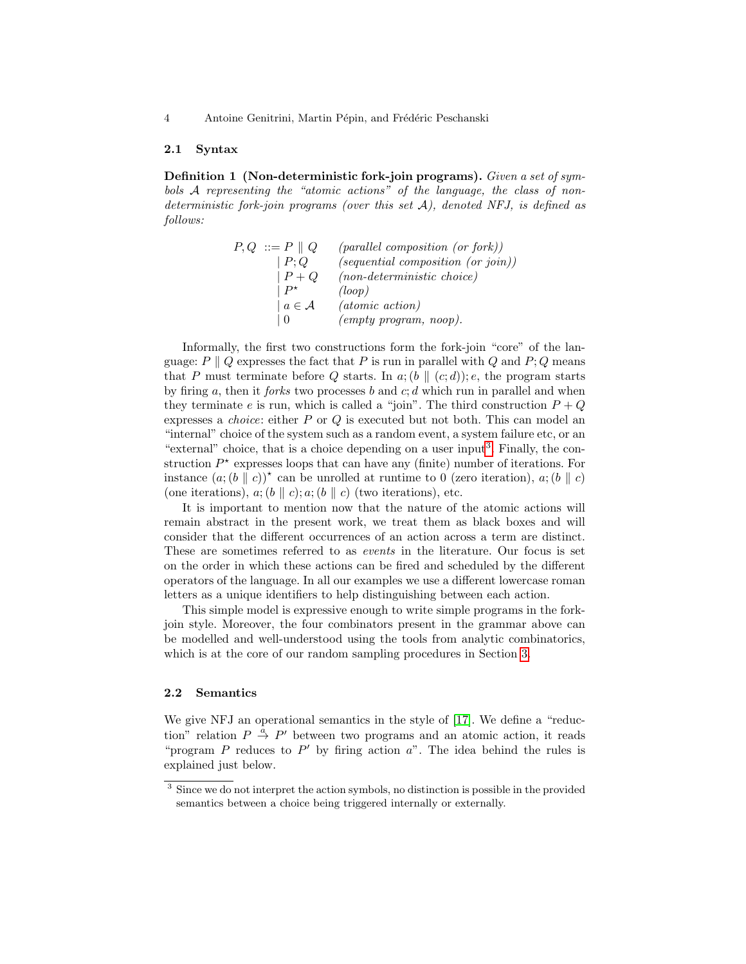4 Antoine Genitrini, Martin Pépin, and Frédéric Peschanski

#### 2.1 Syntax

Definition 1 (Non-deterministic fork-join programs). Given a set of symbols A representing the "atomic actions" of the language, the class of nondeterministic fork-join programs (over this set  $A$ ), denoted NFJ, is defined as follows:

| $P,Q ::= P \parallel Q$ | $\text{(parallel composition (or fork)}$   |
|-------------------------|--------------------------------------------|
| P;Q                     | $(sequential \ composition \ (or \ join))$ |
| $ P+Q $                 | $(non-deterministic choice)$               |
| $\perp P^*$             | (logo p)                                   |
| $a \in \mathcal{A}$     | (atomic action)                            |
| -0                      | $(empty\ property\ program, no op).$       |

Informally, the first two constructions form the fork-join "core" of the language:  $P \parallel Q$  expresses the fact that P is run in parallel with Q and P; Q means that P must terminate before Q starts. In  $a$ ;  $(b \parallel (c; d))$ ; e, the program starts by firing a, then it *forks* two processes b and  $c$ ; d which run in parallel and when they terminate e is run, which is called a "join". The third construction  $P + Q$ expresses a *choice*: either  $P$  or  $Q$  is executed but not both. This can model an "internal" choice of the system such as a random event, a system failure etc, or an "external" choice, that is a choice depending on a user input<sup>[3](#page-3-0)</sup>. Finally, the construction  $P^*$  expresses loops that can have any (finite) number of iterations. For instance  $(a; (b \parallel c))^*$  can be unrolled at runtime to 0 (zero iteration),  $a; (b \parallel c)$ (one iterations),  $a$ ;  $(b \parallel c)$ ;  $a$ ;  $(b \parallel c)$  (two iterations), etc.

It is important to mention now that the nature of the atomic actions will remain abstract in the present work, we treat them as black boxes and will consider that the different occurrences of an action across a term are distinct. These are sometimes referred to as events in the literature. Our focus is set on the order in which these actions can be fired and scheduled by the different operators of the language. In all our examples we use a different lowercase roman letters as a unique identifiers to help distinguishing between each action.

This simple model is expressive enough to write simple programs in the forkjoin style. Moreover, the four combinators present in the grammar above can be modelled and well-understood using the tools from analytic combinatorics, which is at the core of our random sampling procedures in Section [3.](#page-8-0)

#### 2.2 Semantics

We give NFJ an operational semantics in the style of [\[17\]](#page-18-11). We define a "reduction" relation  $P \stackrel{a}{\rightarrow} P'$  between two programs and an atomic action, it reads "program  $P$  reduces to  $P'$  by firing action  $a$ ". The idea behind the rules is explained just below.

<span id="page-3-0"></span><sup>&</sup>lt;sup>3</sup> Since we do not interpret the action symbols, no distinction is possible in the provided semantics between a choice being triggered internally or externally.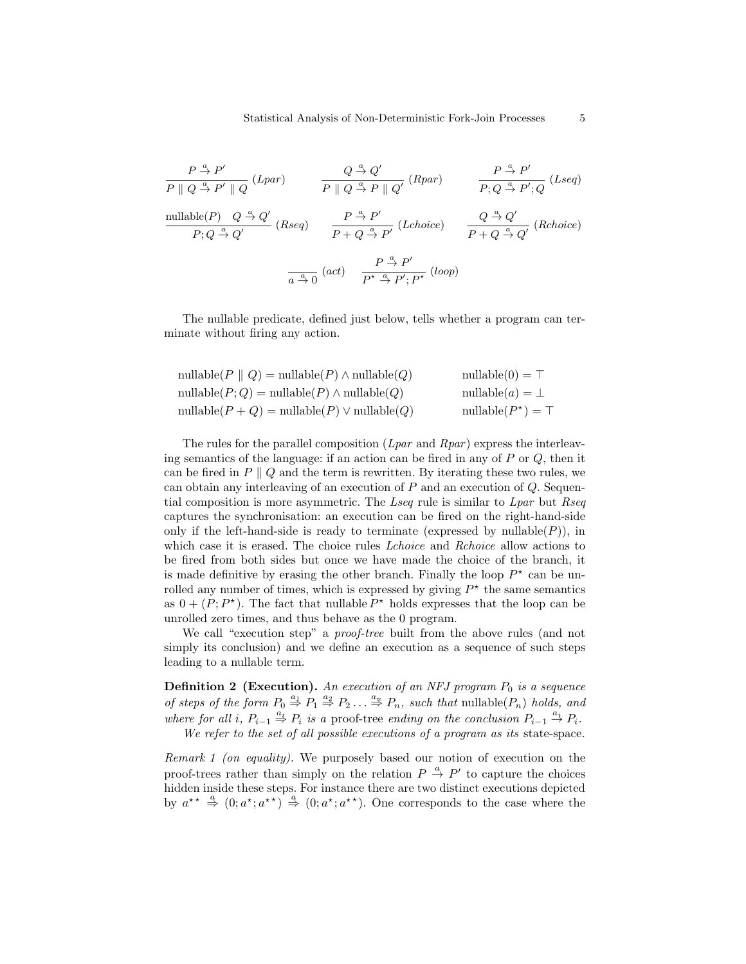$$
\frac{P \stackrel{\alpha}{\rightarrow} P'}{P \parallel Q \stackrel{a}{\rightarrow} P' \parallel Q} (Lpar) \qquad \frac{Q \stackrel{\alpha}{\rightarrow} Q'}{P \parallel Q \stackrel{\alpha}{\rightarrow} P \parallel Q'} (Rpar) \qquad \frac{P \stackrel{\alpha}{\rightarrow} P'}{P; Q \stackrel{a}{\rightarrow} P'; Q} (Lseq)
$$
\n
$$
\frac{\text{nullable}(P) \quad Q \stackrel{\alpha}{\rightarrow} Q'}{P; Q \stackrel{\alpha}{\rightarrow} Q'} (Rseq) \qquad \frac{P \stackrel{\alpha}{\rightarrow} P'}{P + Q \stackrel{\alpha}{\rightarrow} P'} (Lchoice) \qquad \frac{Q \stackrel{\alpha}{\rightarrow} Q'}{P + Q \stackrel{\alpha}{\rightarrow} Q'} (Rchoice)
$$
\n
$$
\frac{P \stackrel{\alpha}{\rightarrow} P'}{P + Q \stackrel{\alpha}{\rightarrow} P'} (loop)
$$

The nullable predicate, defined just below, tells whether a program can terminate without firing any action.

$$
\text{nullable}(P \parallel Q) = \text{nullable}(P) \land \text{nullable}(Q) \quad \text{nullable}(0) = \top
$$
\n
$$
\text{nullable}(P; Q) = \text{nullable}(P) \land \text{nullable}(Q) \quad \text{nullable}(a) = \bot
$$
\n
$$
\text{nullable}(P + Q) = \text{nullable}(P) \lor \text{nullable}(Q) \quad \text{nullable}(P^*) = \top
$$

The rules for the parallel composition (*Lpar* and *Rpar*) express the interleaving semantics of the language: if an action can be fired in any of  $P$  or  $Q$ , then it can be fired in  $P \parallel Q$  and the term is rewritten. By iterating these two rules, we can obtain any interleaving of an execution of  $P$  and an execution of  $Q$ . Sequential composition is more asymmetric. The Lseq rule is similar to Lpar but Rseq captures the synchronisation: an execution can be fired on the right-hand-side only if the left-hand-side is ready to terminate (expressed by nullable $(P)$ ), in which case it is erased. The choice rules *Lchoice* and *Rchoice* allow actions to be fired from both sides but once we have made the choice of the branch, it is made definitive by erasing the other branch. Finally the loop  $P^*$  can be unrolled any number of times, which is expressed by giving  $P^*$  the same semantics as  $0 + (P; P^*)$ . The fact that nullable  $P^*$  holds expresses that the loop can be unrolled zero times, and thus behave as the 0 program.

We call "execution step" a *proof-tree* built from the above rules (and not simply its conclusion) and we define an execution as a sequence of such steps leading to a nullable term.

<span id="page-4-1"></span>**Definition 2 (Execution).** An execution of an NFJ program  $P_0$  is a sequence of steps of the form  $P_0 \stackrel{a_1}{\Rightarrow} P_1 \stackrel{a_2}{\Rightarrow} P_2 \dots \stackrel{a_n}{\Rightarrow} P_n$ , such that nullable $(P_n)$  holds, and where for all i,  $P_{i-1} \stackrel{a_i}{\Rightarrow} P_i$  is a proof-tree ending on the conclusion  $P_{i-1} \stackrel{a_i}{\rightarrow} P_i$ . We refer to the set of all possible executions of a program as its state-space.

<span id="page-4-0"></span>Remark 1 (on equality). We purposely based our notion of execution on the proof-trees rather than simply on the relation  $P \stackrel{a}{\rightarrow} P'$  to capture the choices hidden inside these steps. For instance there are two distinct executions depicted by  $a^{**} \stackrel{a}{\Rightarrow} (0; a^*; a^{**}) \stackrel{a}{\Rightarrow} (0; a^*; a^{**})$ . One corresponds to the case where the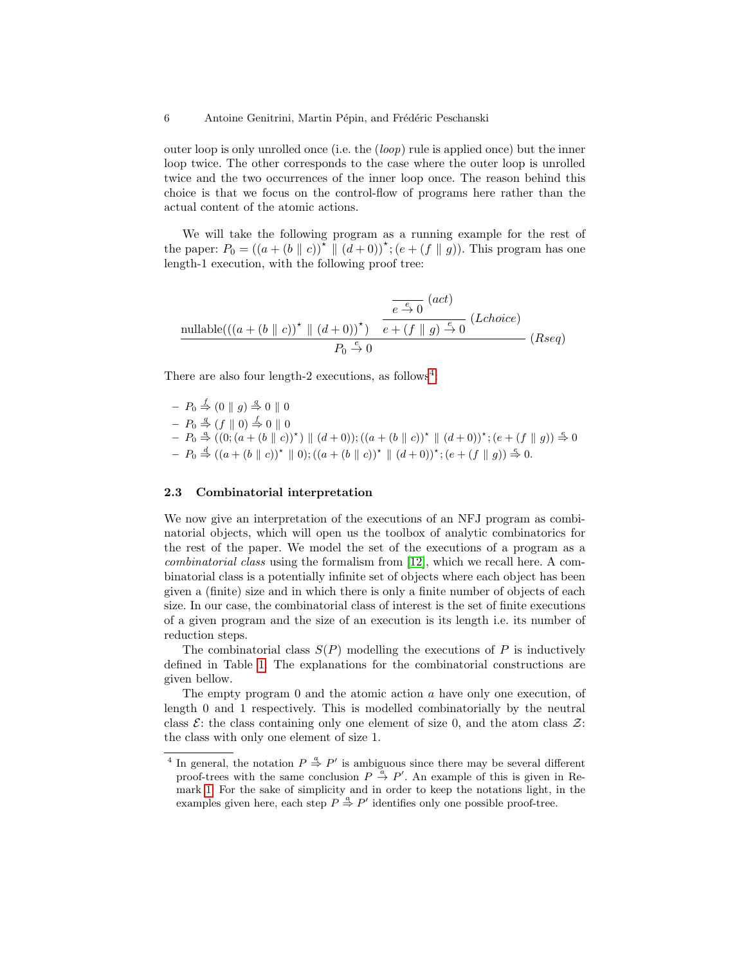outer loop is only unrolled once (i.e. the (loop) rule is applied once) but the inner loop twice. The other corresponds to the case where the outer loop is unrolled twice and the two occurrences of the inner loop once. The reason behind this choice is that we focus on the control-flow of programs here rather than the actual content of the atomic actions.

We will take the following program as a running example for the rest of the paper:  $P_0 = ((a + (b \parallel c))^* \parallel (d+0))^*$ ;  $(e + (f \parallel g))$ . This program has one length-1 execution, with the following proof tree:

$$
\frac{\overline{e \stackrel{e}{\to} 0}^{(act)}}{\text{nullable}(((a+(b \parallel c))^*) \parallel (d+0))^*)} \quad \overline{e+(f \parallel g) \stackrel{e}{\to} 0}^{(act)} \quad (Lehoice)}{P_0 \stackrel{e}{\to} 0}^{(Lchoice)} \quad (Rseq)
$$

There are also four length-2 executions, as follows<sup>[4](#page-5-0)</sup>:

 $- P_0 \stackrel{f}{\Rightarrow} (0 \parallel g) \stackrel{g}{\Rightarrow} 0 \parallel 0$  $-P_0 \stackrel{g}{\Rightarrow} (f \parallel 0) \stackrel{f}{\Rightarrow} 0 \parallel 0$  $-P_0 \stackrel{a}{\Rightarrow} ((0;(a+(b\parallel c))^*) \parallel (d+0)); ((a+(b \parallel c))^* \parallel (d+0))^*; (e+(f \parallel g)) \stackrel{e}{\Rightarrow} 0$  $-P_0 \stackrel{d}{\Rightarrow} ((a+(b \parallel c))^* \parallel 0); ((a+(b \parallel c))^* \parallel (d+0))^*; (e+(f \parallel g)) \stackrel{e}{\Rightarrow} 0.$ 

#### 2.3 Combinatorial interpretation

We now give an interpretation of the executions of an NFJ program as combinatorial objects, which will open us the toolbox of analytic combinatorics for the rest of the paper. We model the set of the executions of a program as a combinatorial class using the formalism from [\[12\]](#page-18-12), which we recall here. A combinatorial class is a potentially infinite set of objects where each object has been given a (finite) size and in which there is only a finite number of objects of each size. In our case, the combinatorial class of interest is the set of finite executions of a given program and the size of an execution is its length i.e. its number of reduction steps.

The combinatorial class  $S(P)$  modelling the executions of P is inductively defined in Table [1.](#page-6-0) The explanations for the combinatorial constructions are given bellow.

The empty program 0 and the atomic action a have only one execution, of length 0 and 1 respectively. This is modelled combinatorially by the neutral class  $\mathcal{E}$ : the class containing only one element of size 0, and the atom class  $\mathcal{Z}$ : the class with only one element of size 1.

<span id="page-5-0"></span><sup>&</sup>lt;sup>4</sup> In general, the notation  $P \stackrel{a}{\Rightarrow} P'$  is ambiguous since there may be several different proof-trees with the same conclusion  $P \stackrel{a}{\rightarrow} P'$ . An example of this is given in Remark [1.](#page-4-0) For the sake of simplicity and in order to keep the notations light, in the examples given here, each step  $P \stackrel{a}{\Rightarrow} P'$  identifies only one possible proof-tree.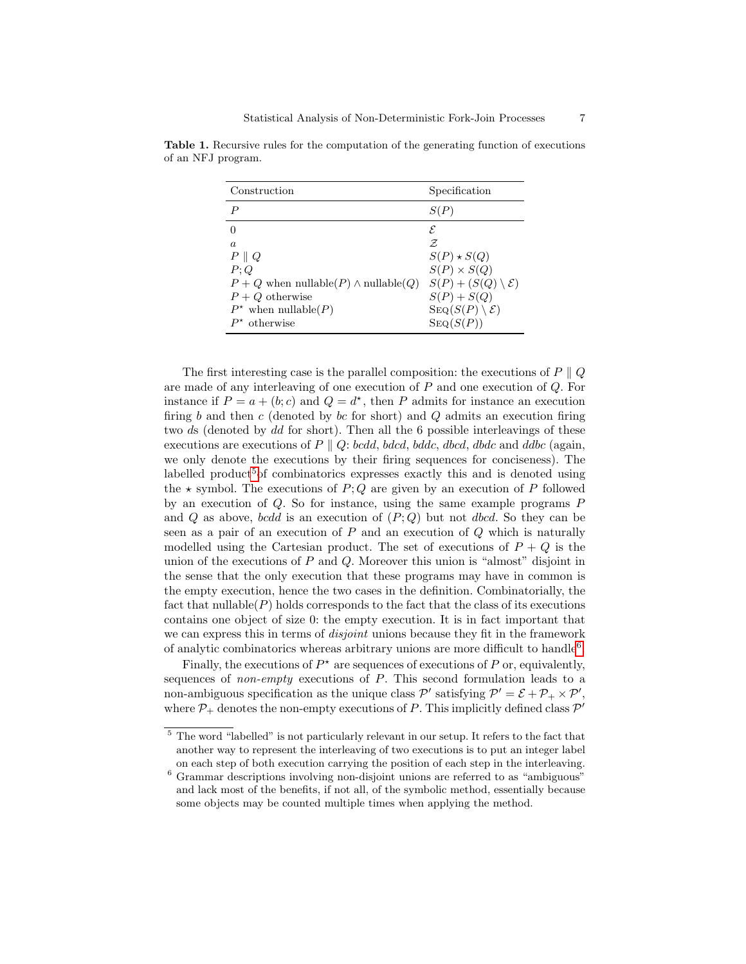| Construction                                 | Specification                            |
|----------------------------------------------|------------------------------------------|
| $\boldsymbol{P}$                             | S(P)                                     |
| $\Omega$                                     | E.                                       |
| $\boldsymbol{a}$                             | F,                                       |
| $P \parallel Q$                              | $S(P) * S(Q)$                            |
| P;Q                                          | $S(P) \times S(Q)$                       |
| $P + Q$ when nullable(P) $\land$ nullable(Q) | $S(P) + (S(Q) \setminus \mathcal{E})$    |
| $P + Q$ otherwise                            | $S(P) + S(Q)$                            |
| $P^*$ when nullable(P)                       | $\text{Seq}(S(P) \setminus \mathcal{E})$ |
| $P^*$ otherwise                              | $\text{Seq}(S(P))$                       |

<span id="page-6-0"></span>Table 1. Recursive rules for the computation of the generating function of executions of an NFJ program.

The first interesting case is the parallel composition: the executions of  $P \parallel Q$ are made of any interleaving of one execution of P and one execution of Q. For instance if  $P = a + (b; c)$  and  $Q = d^*$ , then P admits for instance an execution firing  $b$  and then  $c$  (denoted by  $bc$  for short) and  $Q$  admits an execution firing two ds (denoted by dd for short). Then all the 6 possible interleavings of these executions are executions of P  $\parallel Q$ : bcdd, bdcd, dbcd, dbcd, dbdc and ddbc (again, we only denote the executions by their firing sequences for conciseness). The labelled product<sup>[5](#page-6-1)</sup> of combinatorics expresses exactly this and is denoted using the  $\star$  symbol. The executions of P; Q are given by an execution of P followed by an execution of Q. So for instance, using the same example programs P and  $Q$  as above, bodd is an execution of  $(P; Q)$  but not dbcd. So they can be seen as a pair of an execution of  $P$  and an execution of  $Q$  which is naturally modelled using the Cartesian product. The set of executions of  $P + Q$  is the union of the executions of  $P$  and  $Q$ . Moreover this union is "almost" disjoint in the sense that the only execution that these programs may have in common is the empty execution, hence the two cases in the definition. Combinatorially, the fact that  $\text{nullable}(P)$  holds corresponds to the fact that the class of its executions contains one object of size 0: the empty execution. It is in fact important that we can express this in terms of *disjoint* unions because they fit in the framework of analytic combinatorics whereas arbitrary unions are more difficult to handle<sup>[6](#page-6-2)</sup>.

Finally, the executions of  $P^*$  are sequences of executions of P or, equivalently, sequences of *non-empty* executions of P. This second formulation leads to a non-ambiguous specification as the unique class  $\mathcal{P}'$  satisfying  $\mathcal{P}' = \mathcal{E} + \mathcal{P}_+ \times \mathcal{P}'$ , where  $\mathcal{P}_+$  denotes the non-empty executions of P. This implicitly defined class  $\mathcal{P}'$ 

<span id="page-6-1"></span><sup>5</sup> The word "labelled" is not particularly relevant in our setup. It refers to the fact that another way to represent the interleaving of two executions is to put an integer label on each step of both execution carrying the position of each step in the interleaving.

<span id="page-6-2"></span><sup>6</sup> Grammar descriptions involving non-disjoint unions are referred to as "ambiguous" and lack most of the benefits, if not all, of the symbolic method, essentially because some objects may be counted multiple times when applying the method.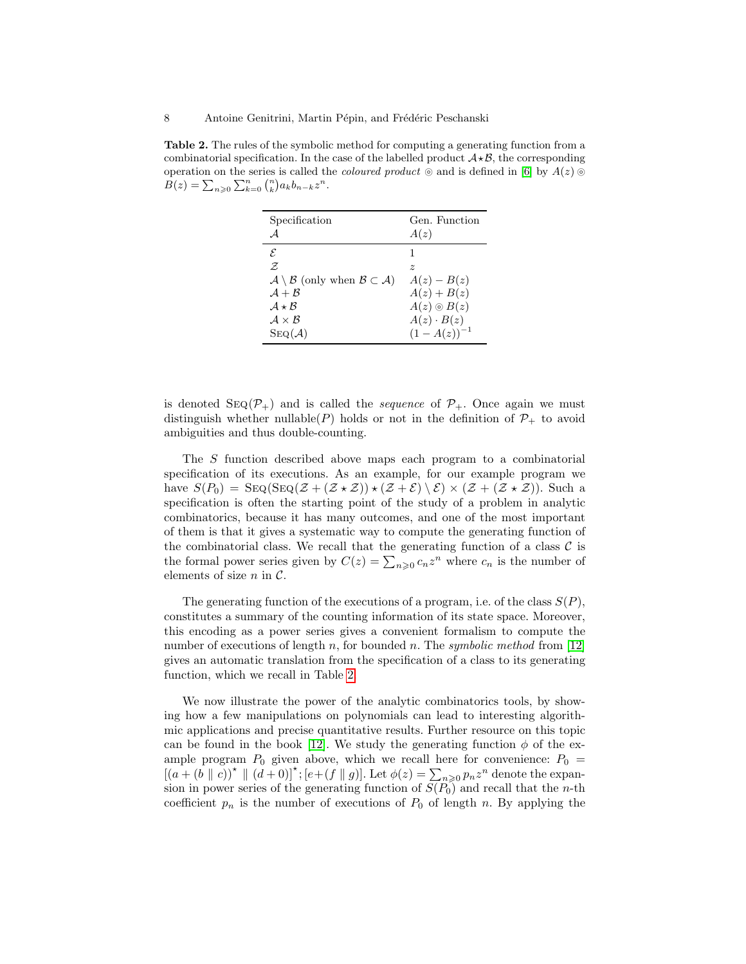<span id="page-7-0"></span>Table 2. The rules of the symbolic method for computing a generating function from a combinatorial specification. In the case of the labelled product  $\mathcal{A} \star \mathcal{B}$ , the corresponding operation on the series is called the *coloured product*  $\odot$  and is defined in [\[6\]](#page-18-13) by  $A(z)$   $\odot$  $B(z) = \sum_{n\geqslant 0} \sum_{k=0}^n {n \choose k} a_k b_{n-k} z^n.$ 

| Specification                                                                  | Gen. Function     |
|--------------------------------------------------------------------------------|-------------------|
| $\mathcal{A}$                                                                  | A(z)              |
| £.                                                                             | 1                 |
| 7.                                                                             | $\tilde{z}$       |
| $\mathcal{A}\setminus\mathcal{B}$ (only when $\mathcal{B}\subset\mathcal{A}$ ) | $A(z) - B(z)$     |
| $A+B$                                                                          | $A(z) + B(z)$     |
| $A \star B$                                                                    | $A(z) \odot B(z)$ |
| $A \times B$                                                                   | $A(z) \cdot B(z)$ |
| $\text{Seq}(\mathcal{A})$                                                      | $(1-A(z))^{-1}$   |

is denoted  $\text{Seq}(\mathcal{P}_+)$  and is called the *sequence* of  $\mathcal{P}_+$ . Once again we must distinguish whether nullable(P) holds or not in the definition of  $P_+$  to avoid ambiguities and thus double-counting.

The S function described above maps each program to a combinatorial specification of its executions. As an example, for our example program we have  $S(P_0) = \text{Seq}(\text{Seq}(\mathcal{Z} + (\mathcal{Z} \star \mathcal{Z})) \star (\mathcal{Z} + \mathcal{E}) \setminus \mathcal{E}) \times (\mathcal{Z} + (\mathcal{Z} \star \mathcal{Z}))$ . Such a specification is often the starting point of the study of a problem in analytic combinatorics, because it has many outcomes, and one of the most important of them is that it gives a systematic way to compute the generating function of the combinatorial class. We recall that the generating function of a class  $\mathcal C$  is the formal power series given by  $C(z) = \sum_{n\geqslant 0} c_n z^n$  where  $c_n$  is the number of elements of size  $n$  in  $\mathcal{C}$ .

The generating function of the executions of a program, i.e. of the class  $S(P)$ , constitutes a summary of the counting information of its state space. Moreover, this encoding as a power series gives a convenient formalism to compute the number of executions of length n, for bounded n. The symbolic method from  $[12]$ gives an automatic translation from the specification of a class to its generating function, which we recall in Table [2.](#page-7-0)

We now illustrate the power of the analytic combinatorics tools, by showing how a few manipulations on polynomials can lead to interesting algorithmic applications and precise quantitative results. Further resource on this topic can be found in the book [\[12\]](#page-18-12). We study the generating function  $\phi$  of the example program  $P_0$  given above, which we recall here for convenience:  $P_0$  =  $[(a + (b \parallel c))^* \parallel (d+0)]^*; [e+(f \parallel g)]$ . Let  $\phi(z) = \sum_{n\geq 0} p_n z^n$  denote the expansion in power series of the generating function of  $S(P_0)$  and recall that the *n*-th coefficient  $p_n$  is the number of executions of  $P_0$  of length n. By applying the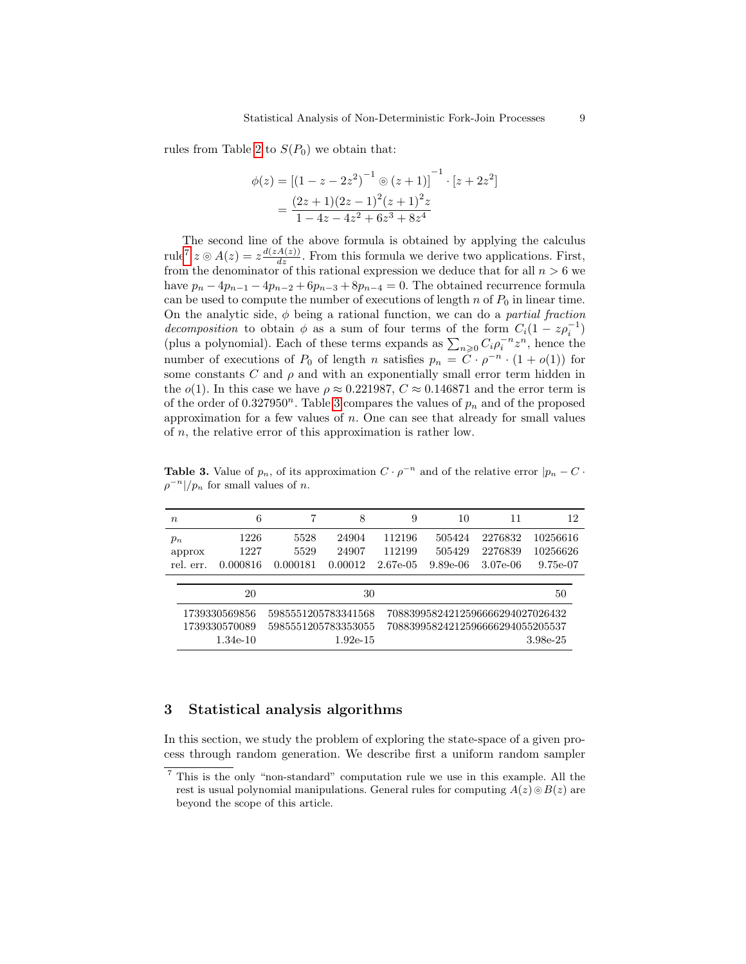rules from Table [2](#page-7-0) to  $S(P_0)$  we obtain that:

$$
\begin{aligned} \phi(z) &= \left[ (1 - z - 2z^2)^{-1} \circledcirc (z + 1) \right]^{-1} \cdot [z + 2z^2] \\ &= \frac{(2z + 1)(2z - 1)^2 (z + 1)^2 z}{1 - 4z - 4z^2 + 6z^3 + 8z^4} \end{aligned}
$$

The second line of the above formula is obtained by applying the calculus rule<sup>[7](#page-8-1)</sup>  $z \odot A(z) = z \frac{d(zA(z))}{dz}$ . From this formula we derive two applications. First, from the denominator of this rational expression we deduce that for all  $n > 6$  we have  $p_n - 4p_{n-1} - 4p_{n-2} + 6p_{n-3} + 8p_{n-4} = 0$ . The obtained recurrence formula can be used to compute the number of executions of length  $n$  of  $P_0$  in linear time. On the analytic side,  $\phi$  being a rational function, we can do a *partial fraction* decomposition to obtain  $\phi$  as a sum of four terms of the form  $C_i(1 - z\rho_i^{-1})$ (plus a polynomial). Each of these terms expands as  $\sum_{n\geqslant 0} C_i \rho_i^{-n} z^n$ , hence the number of executions of  $P_0$  of length n satisfies  $p_n = C \cdot \rho^{-n} \cdot (1 + o(1))$  for some constants  $C$  and  $\rho$  and with an exponentially small error term hidden in the  $o(1)$ . In this case we have  $\rho \approx 0.221987$ ,  $C \approx 0.146871$  and the error term is of the order of 0.327950<sup>n</sup>. Table [3](#page-8-2) compares the values of  $p_n$  and of the proposed approximation for a few values of  $n$ . One can see that already for small values of n, the relative error of this approximation is rather low.

<span id="page-8-2"></span>**Table 3.** Value of  $p_n$ , of its approximation  $C \cdot \rho^{-n}$  and of the relative error  $|p_n - C|$ .  $\rho^{-n}$ |/ $p_n$  for small values of *n*.

| $\boldsymbol{n}$ |                     | 6                                            | 7                                          | 8                         | 9                            | 10                                                                   | 11                             | 12                               |
|------------------|---------------------|----------------------------------------------|--------------------------------------------|---------------------------|------------------------------|----------------------------------------------------------------------|--------------------------------|----------------------------------|
| $p_n$            | approx<br>rel. err. | 1226<br>1227<br>0.000816                     | 5528<br>5529<br>0.000181                   | 24904<br>24907<br>0.00012 | 112196<br>112199<br>2.67e-05 | 505424<br>505429<br>$9.89e-06$                                       | 2276832<br>2276839<br>3.07e-06 | 10256616<br>10256626<br>9.75e-07 |
|                  |                     | 20                                           |                                            | 30                        |                              |                                                                      |                                | 50                               |
|                  |                     | 1739330569856<br>1739330570089<br>$1.34e-10$ | 5985551205783341568<br>5985551205783353055 | 1.92e-15                  |                              | 70883995824212596666294027026432<br>70883995824212596666294055205537 |                                | 3.98e-25                         |

# <span id="page-8-0"></span>3 Statistical analysis algorithms

In this section, we study the problem of exploring the state-space of a given process through random generation. We describe first a uniform random sampler

<span id="page-8-1"></span><sup>7</sup> This is the only "non-standard" computation rule we use in this example. All the rest is usual polynomial manipulations. General rules for computing  $A(z) \odot B(z)$  are beyond the scope of this article.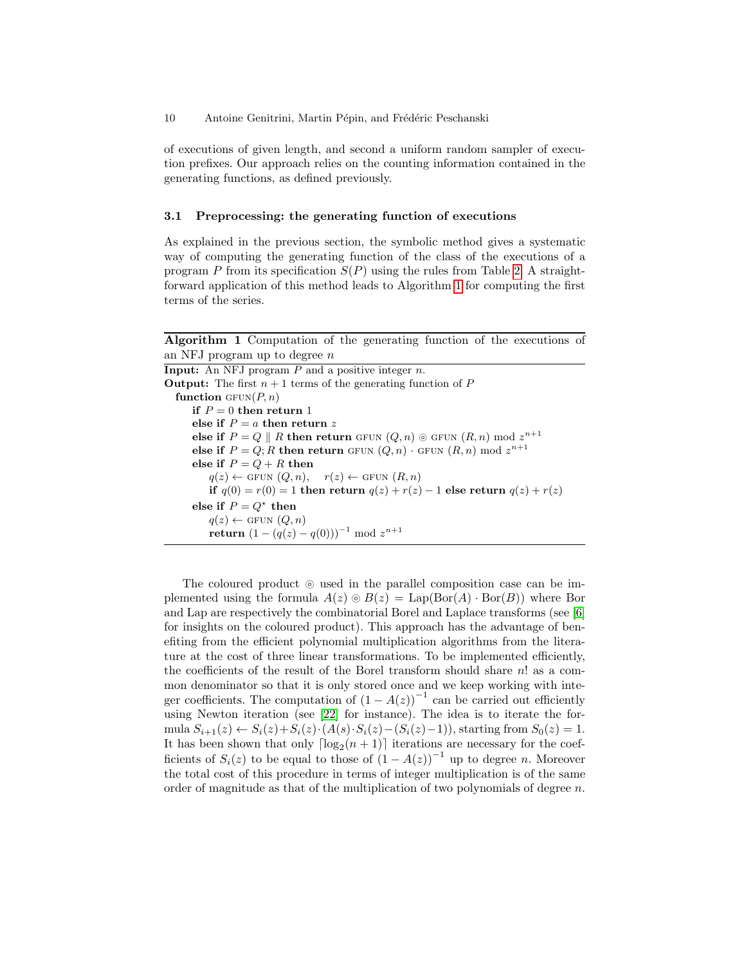10 Antoine Genitrini, Martin Pépin, and Frédéric Peschanski

of executions of given length, and second a uniform random sampler of execution prefixes. Our approach relies on the counting information contained in the generating functions, as defined previously.

#### 3.1 Preprocessing: the generating function of executions

As explained in the previous section, the symbolic method gives a systematic way of computing the generating function of the class of the executions of a program P from its specification  $S(P)$  using the rules from Table [2.](#page-7-0) A straightforward application of this method leads to Algorithm [1](#page-9-0) for computing the first terms of the series.

Algorithm 1 Computation of the generating function of the executions of an NFJ program up to degree n

```
Input: An NFJ program P and a positive integer n.
Output: The first n + 1 terms of the generating function of Pfunction GEN(P, n)if P = 0 then return 1
     else if P = a then return z
      else if P = Q \parallel R then return GFUN (Q, n) \odot GFUN (R, n) \mod z^{n+1}else if P = Q; R then return GFUN (Q, n) · GFUN (R, n) mod z^{n+1}else if P = Q + R then
         q(z) \leftarrow GFUN (Q, n), r(z) \leftarrow GFUN (R, n)if q(0) = r(0) = 1 then return q(z) + r(z) - 1 else return q(z) + r(z)else if P = Q^* then
         q(z) \leftarrow GFUN (Q, n)return (1 - (q(z) - q(0)))^{-1} \text{ mod } z^{n+1}
```
<span id="page-9-1"></span>The coloured product  $\circledcirc$  used in the parallel composition case can be implemented using the formula  $A(z) \odot B(z) = \text{Lap}(\text{Bor}(A) \cdot \text{Bor}(B))$  where Bor and Lap are respectively the combinatorial Borel and Laplace transforms (see [\[6\]](#page-18-13) for insights on the coloured product). This approach has the advantage of benefiting from the efficient polynomial multiplication algorithms from the literature at the cost of three linear transformations. To be implemented efficiently, the coefficients of the result of the Borel transform should share n! as a common denominator so that it is only stored once and we keep working with integer coefficients. The computation of  $(1 - A(z))^{-1}$  can be carried out efficiently using Newton iteration (see [\[22\]](#page-19-2) for instance). The idea is to iterate the formula  $S_{i+1}(z)$  ←  $S_i(z)$  +  $S_i(z)$  ·  $(A(s) \cdot S_i(z) - (S_i(z) - 1))$ , starting from  $S_0(z) = 1$ . It has been shown that only  $\lceil \log_2(n + 1) \rceil$  iterations are necessary for the coefficients of  $S_i(z)$  to be equal to those of  $(1 - A(z))^{-1}$  up to degree n. Moreover the total cost of this procedure in terms of integer multiplication is of the same order of magnitude as that of the multiplication of two polynomials of degree  $n$ .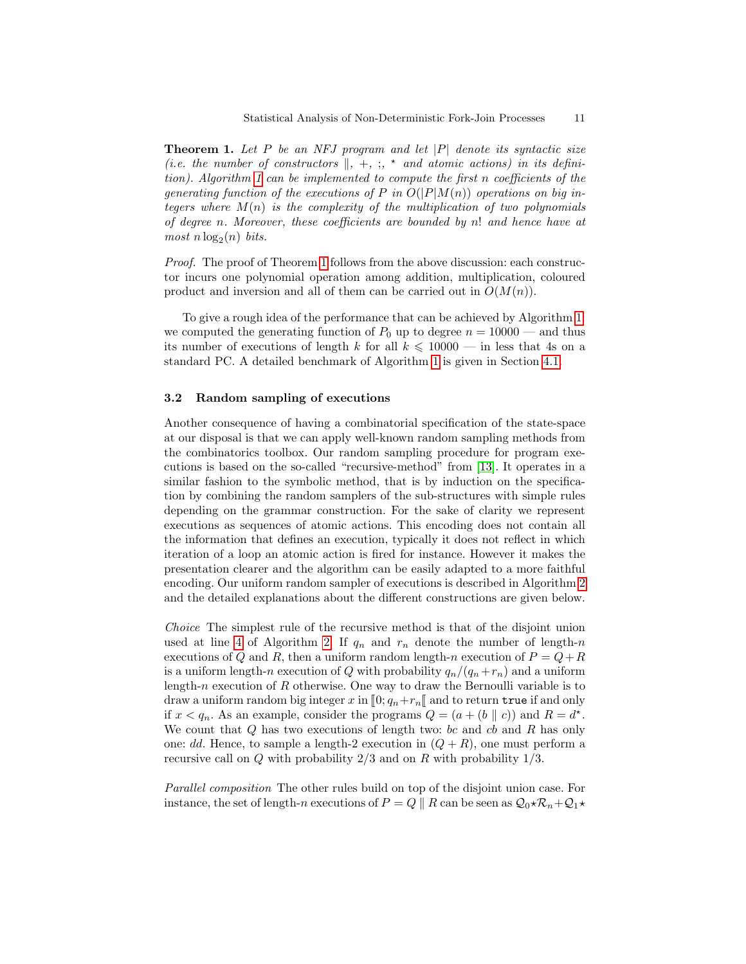**Theorem 1.** Let  $P$  be an NFJ program and let  $|P|$  denote its syntactic size (i.e. the number of constructors  $\parallel, +, ;$ ,  $\star$  and atomic actions) in its definition). Algorithm [1](#page-9-0) can be implemented to compute the first n coefficients of the generating function of the executions of P in  $O(|P|M(n))$  operations on big integers where  $M(n)$  is the complexity of the multiplication of two polynomials of degree n. Moreover, these coefficients are bounded by n! and hence have at  $most n log<sub>2</sub>(n) bits.$ 

Proof. The proof of Theorem [1](#page-9-1) follows from the above discussion: each constructor incurs one polynomial operation among addition, multiplication, coloured product and inversion and all of them can be carried out in  $O(M(n))$ .

To give a rough idea of the performance that can be achieved by Algorithm [1:](#page-9-0) we computed the generating function of  $P_0$  up to degree  $n = 10000$  — and thus its number of executions of length k for all  $k \le 10000$  — in less that 4s on a standard PC. A detailed benchmark of Algorithm [1](#page-9-0) is given in Section [4.1.](#page-15-0)

#### 3.2 Random sampling of executions

Another consequence of having a combinatorial specification of the state-space at our disposal is that we can apply well-known random sampling methods from the combinatorics toolbox. Our random sampling procedure for program executions is based on the so-called "recursive-method" from [\[13\]](#page-18-14). It operates in a similar fashion to the symbolic method, that is by induction on the specification by combining the random samplers of the sub-structures with simple rules depending on the grammar construction. For the sake of clarity we represent executions as sequences of atomic actions. This encoding does not contain all the information that defines an execution, typically it does not reflect in which iteration of a loop an atomic action is fired for instance. However it makes the presentation clearer and the algorithm can be easily adapted to a more faithful encoding. Our uniform random sampler of executions is described in Algorithm [2](#page-11-0) and the detailed explanations about the different constructions are given below.

Choice The simplest rule of the recursive method is that of the disjoint union used at line [4](#page-11-0) of Algorithm [2.](#page-11-0) If  $q_n$  and  $r_n$  denote the number of length-n executions of Q and R, then a uniform random length-n execution of  $P = Q + R$ is a uniform length-n execution of Q with probability  $q_n/(q_n+r_n)$  and a uniform length-n execution of  $R$  otherwise. One way to draw the Bernoulli variable is to draw a uniform random big integer x in  $\llbracket 0; q_n + r_n \llbracket$  and to return true if and only if  $x < q_n$ . As an example, consider the programs  $Q = (a + (b \parallel c))$  and  $R = d^*$ . We count that  $Q$  has two executions of length two: bc and cb and  $R$  has only one: dd. Hence, to sample a length-2 execution in  $(Q + R)$ , one must perform a recursive call on Q with probability 2/3 and on R with probability 1/3.

Parallel composition The other rules build on top of the disjoint union case. For instance, the set of length-n executions of  $P = Q \parallel R$  can be seen as  $Q_0 \star R_n + Q_1 \star$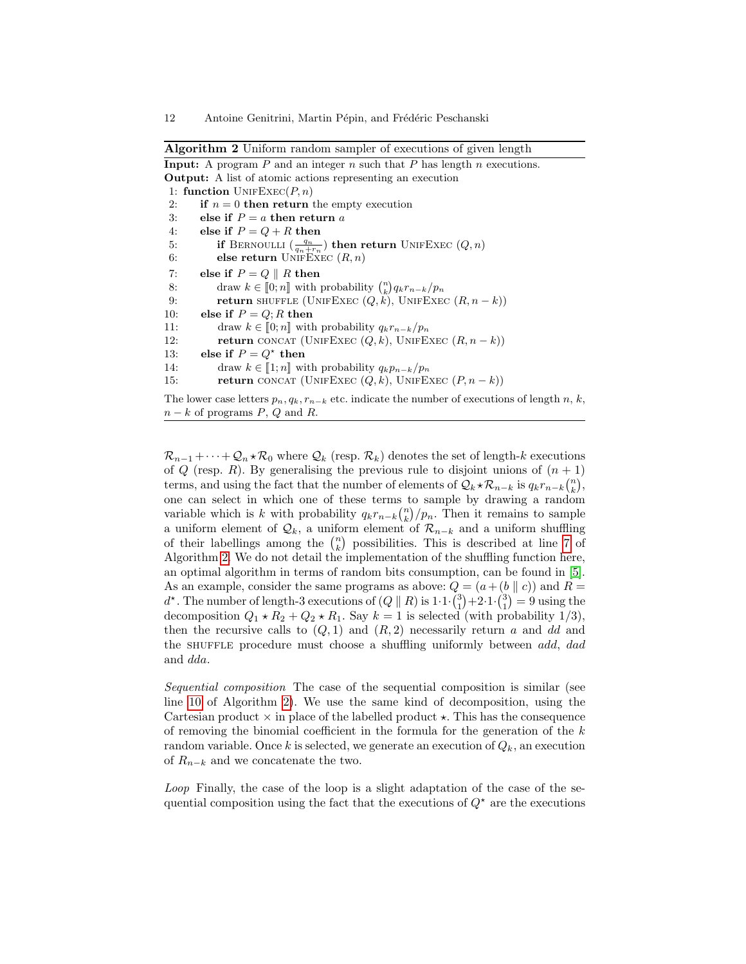<span id="page-11-0"></span>Algorithm 2 Uniform random sampler of executions of given length **Input:** A program  $P$  and an integer  $n$  such that  $P$  has length  $n$  executions. Output: A list of atomic actions representing an execution 1: function  $UNIFEXEC(P, n)$ 2: if  $n = 0$  then return the empty execution 3: else if  $P = a$  then return a 4: else if  $P = Q + R$  then 5: if BERNOULLI  $\left(\frac{q_n}{q_n+r_n}\right)$  then return UNIFEXEC  $(Q, n)$ 6: else return UNIFEXEC  $(R, n)$ 7: else if  $P = Q \parallel R$  then 8: draw  $k \in [0; n]$  with probability  $\binom{n}{k} q_k r_{n-k}/p_n$ <br>0. **poturn** SUUEE (UNIEEXEC (Q k) UNIEEXE 9: return SHUFFLE (UNIFEXEC  $(Q, \widetilde{k})$ , UNIFEXEC  $(R, n - k)$ ) 10: else if  $P = Q; R$  then 11: draw  $k \in [0; n]$  with probability  $q_k r_{n-k}/p_n$ <br>12: **return** CONCAT (UNIFEXEC  $(Q, k)$ , UNIFE return CONCAT (UNIFEXEC  $(Q, k)$ , UNIFEXEC  $(R, n - k)$ ) 13: else if  $P = Q^*$  then 14: draw  $k \in [\![1;n]\!]$  with probability  $q_k p_{n-k}/p_n$ <br>15: **return** CONCAT (UNIFEXEC  $(O, k)$ ). UNIFE return CONCAT (UNIFEXEC  $(Q, k)$ , UNIFEXEC  $(P, n - k)$ ) The lower case letters  $p_n, q_k, r_{n-k}$  etc. indicate the number of executions of length n, k,  $n - k$  of programs  $P$ ,  $Q$  and  $R$ .

 $\mathcal{R}_{n-1} + \cdots + \mathcal{Q}_n \star \mathcal{R}_0$  where  $\mathcal{Q}_k$  (resp.  $\mathcal{R}_k$ ) denotes the set of length-k executions of Q (resp. R). By generalising the previous rule to disjoint unions of  $(n + 1)$ terms, and using the fact that the number of elements of  $Q_k \star \mathcal{R}_{n-k}$  is  $q_k r_{n-k} {n \choose k}$ , one can select in which one of these terms to sample by drawing a random variable which is k with probability  $q_k r_{n-k} \binom{n}{k} / p_n$ . Then it remains to sample a uniform element of  $\mathcal{Q}_k$ , a uniform element of  $\mathcal{R}_{n-k}$  and a uniform shuffling of their labellings among the  $\binom{n}{k}$  possibilities. This is described at line [7](#page-11-0) of Algorithm [2.](#page-11-0) We do not detail the implementation of the shuffling function here, an optimal algorithm in terms of random bits consumption, can be found in [\[5\]](#page-18-10). As an example, consider the same programs as above:  $Q = (a + (b \parallel c))$  and  $R =$  $d^*$ . The number of length-3 executions of  $(Q \parallel R)$  is  $1 \cdot 1 \cdot {3 \choose 1} + 2 \cdot 1 \cdot {3 \choose 1} = 9$  using the decomposition  $Q_1 \star R_2 + Q_2 \star R_1$ . Say  $k = 1$  is selected (with probability 1/3), then the recursive calls to  $(Q, 1)$  and  $(R, 2)$  necessarily return a and dd and the shuffle procedure must choose a shuffling uniformly between add, dad and dda.

Sequential composition The case of the sequential composition is similar (see line [10](#page-11-0) of Algorithm [2\)](#page-11-0). We use the same kind of decomposition, using the Cartesian product  $\times$  in place of the labelled product  $\star$ . This has the consequence of removing the binomial coefficient in the formula for the generation of the  $k$ random variable. Once k is selected, we generate an execution of  $Q_k$ , an execution of  $R_{n-k}$  and we concatenate the two.

Loop Finally, the case of the loop is a slight adaptation of the case of the sequential composition using the fact that the executions of  $Q^*$  are the executions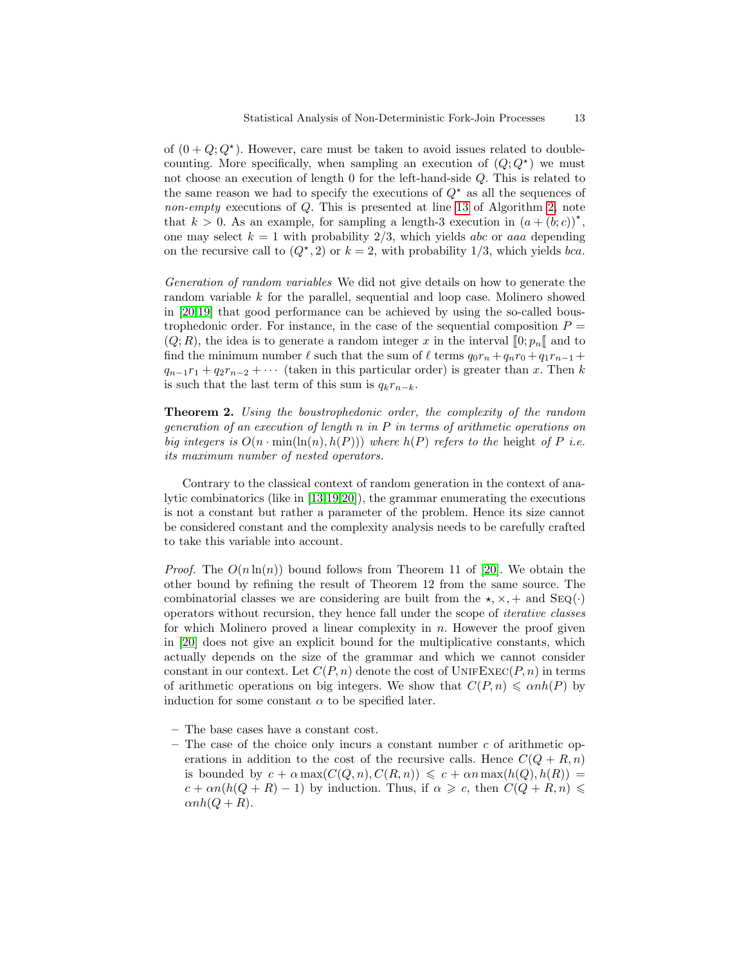of  $(0+Q;Q^*)$ . However, care must be taken to avoid issues related to doublecounting. More specifically, when sampling an execution of  $(Q; Q^{\star})$  we must not choose an execution of length 0 for the left-hand-side Q. This is related to the same reason we had to specify the executions of  $Q^*$  as all the sequences of non-empty executions of Q. This is presented at line [13](#page-11-0) of Algorithm [2,](#page-11-0) note that  $k > 0$ . As an example, for sampling a length-3 execution in  $(a + (b, c))^*$ , one may select  $k = 1$  with probability 2/3, which yields abc or aaa depending on the recursive call to  $(Q^*, 2)$  or  $k = 2$ , with probability 1/3, which yields bca.

Generation of random variables We did not give details on how to generate the random variable k for the parallel, sequential and loop case. Molinero showed in [\[20](#page-18-15)[,19\]](#page-18-16) that good performance can be achieved by using the so-called boustrophedonic order. For instance, in the case of the sequential composition  $P =$  $(Q; R)$ , the idea is to generate a random integer x in the interval  $[0; p_n]$  and to find the minimum number  $\ell$  such that the sum of  $\ell$  terms  $q_0r_n + q_nr_0 + q_1r_{n-1} +$  $q_{n-1}r_1 + q_2r_{n-2} + \cdots$  (taken in this particular order) is greater than x. Then k is such that the last term of this sum is  $q_k r_{n-k}$ .

Theorem 2. Using the boustrophedonic order, the complexity of the random generation of an execution of length n in P in terms of arithmetic operations on big integers is  $O(n \cdot \min(\ln(n), h(P)))$  where  $h(P)$  refers to the height of P i.e. its maximum number of nested operators.

Contrary to the classical context of random generation in the context of analytic combinatorics (like in [\[13,](#page-18-14)[19,](#page-18-16)[20\]](#page-18-15)), the grammar enumerating the executions is not a constant but rather a parameter of the problem. Hence its size cannot be considered constant and the complexity analysis needs to be carefully crafted to take this variable into account.

*Proof.* The  $O(n \ln(n))$  bound follows from Theorem 11 of [\[20\]](#page-18-15). We obtain the other bound by refining the result of Theorem 12 from the same source. The combinatorial classes we are considering are built from the  $\star$ ,  $\times$ ,  $+$  and  $\text{SEQ}(\cdot)$ operators without recursion, they hence fall under the scope of iterative classes for which Molinero proved a linear complexity in  $n$ . However the proof given in [\[20\]](#page-18-15) does not give an explicit bound for the multiplicative constants, which actually depends on the size of the grammar and which we cannot consider constant in our context. Let  $C(P, n)$  denote the cost of UNIFEXEC(P, n) in terms of arithmetic operations on big integers. We show that  $C(P, n) \leq \alpha nh(P)$  by induction for some constant  $\alpha$  to be specified later.

- The base cases have a constant cost.
- The case of the choice only incurs a constant number c of arithmetic operations in addition to the cost of the recursive calls. Hence  $C(Q + R, n)$ is bounded by  $c + \alpha \max(C(Q, n), C(R, n)) \leqslant c + \alpha n \max(h(Q), h(R))$  =  $c + \alpha n(h(Q + R) - 1)$  by induction. Thus, if  $\alpha \geq c$ , then  $C(Q + R, n) \leq$  $\alpha nh(Q + R).$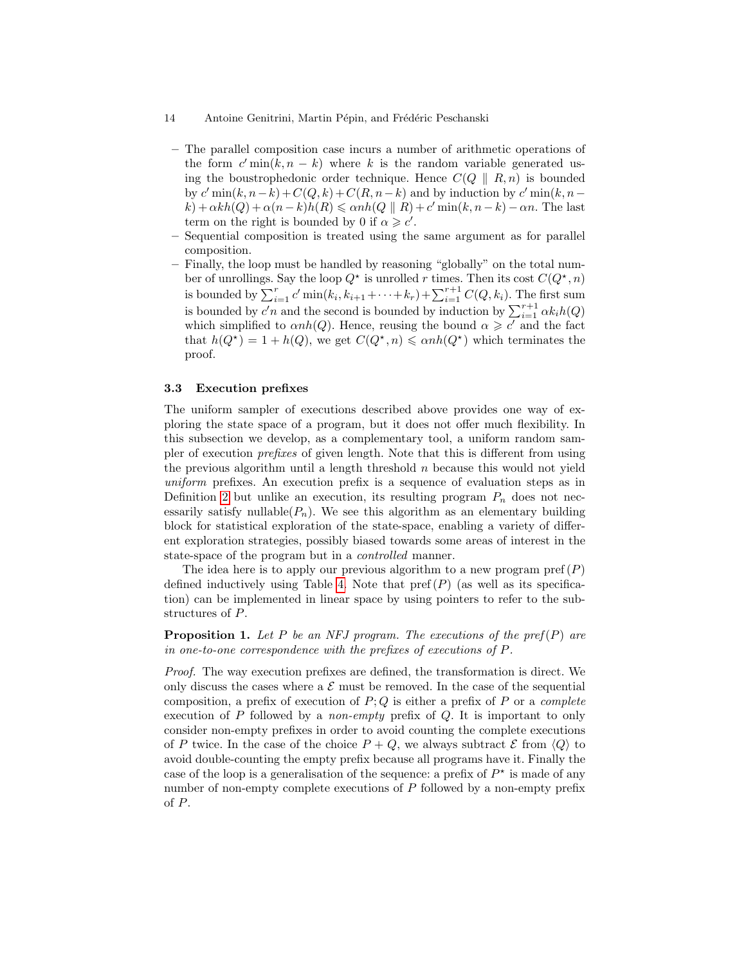- 14 Antoine Genitrini, Martin Pépin, and Frédéric Peschanski
- The parallel composition case incurs a number of arithmetic operations of the form  $c'$  min $(k, n - k)$  where k is the random variable generated using the boustrophedonic order technique. Hence  $C(Q \parallel R, n)$  is bounded by  $c'$  min $(k, n-k)$  +  $C(Q, k)$  +  $C(R, n-k)$  and by induction by  $c'$  min $(k, n$  $k) + \alpha kh(Q) + \alpha(n-k)h(R) \leq \alpha nh(Q \parallel R) + c' \min(k, n-k) - \alpha n$ . The last term on the right is bounded by 0 if  $\alpha \geqslant c'$ .
- Sequential composition is treated using the same argument as for parallel composition.
- Finally, the loop must be handled by reasoning "globally" on the total number of unrollings. Say the loop  $Q^*$  is unrolled r times. Then its cost  $C(Q^*, n)$ is bounded by  $\sum_{i=1}^r c' \min(k_i, k_{i+1} + \cdots + k_r) + \sum_{i=1}^{r+1} C(Q, k_i)$ . The first sum is bounded by  $c'n$  and the second is bounded by induction by  $\sum_{i=1}^{r+1} \alpha k_i h(Q)$ which simplified to  $\alpha nh(Q)$ . Hence, reusing the bound  $\alpha \geqslant c'$  and the fact that  $h(Q^*) = 1 + h(Q)$ , we get  $C(Q^*, n) \leq \alpha nh(Q^*)$  which terminates the proof.

## 3.3 Execution prefixes

The uniform sampler of executions described above provides one way of exploring the state space of a program, but it does not offer much flexibility. In this subsection we develop, as a complementary tool, a uniform random sampler of execution prefixes of given length. Note that this is different from using the previous algorithm until a length threshold  $n$  because this would not yield uniform prefixes. An execution prefix is a sequence of evaluation steps as in Definition [2](#page-4-1) but unlike an execution, its resulting program  $P_n$  does not necessarily satisfy nullable( $P_n$ ). We see this algorithm as an elementary building block for statistical exploration of the state-space, enabling a variety of different exploration strategies, possibly biased towards some areas of interest in the state-space of the program but in a *controlled* manner.

The idea here is to apply our previous algorithm to a new program  $\text{pref}(P)$ defined inductively using Table [4.](#page-14-1) Note that  $\text{pref}(P)$  (as well as its specification) can be implemented in linear space by using pointers to refer to the substructures of P.

<span id="page-13-0"></span>**Proposition 1.** Let P be an NFJ program. The executions of the pref $(P)$  are in one-to-one correspondence with the prefixes of executions of P.

Proof. The way execution prefixes are defined, the transformation is direct. We only discuss the cases where a  $\mathcal E$  must be removed. In the case of the sequential composition, a prefix of execution of  $P$ ; Q is either a prefix of P or a *complete* execution of P followed by a *non-empty* prefix of Q. It is important to only consider non-empty prefixes in order to avoid counting the complete executions of P twice. In the case of the choice  $P + Q$ , we always subtract  $\mathcal E$  from  $\langle Q \rangle$  to avoid double-counting the empty prefix because all programs have it. Finally the case of the loop is a generalisation of the sequence: a prefix of  $P^*$  is made of any number of non-empty complete executions of P followed by a non-empty prefix of P.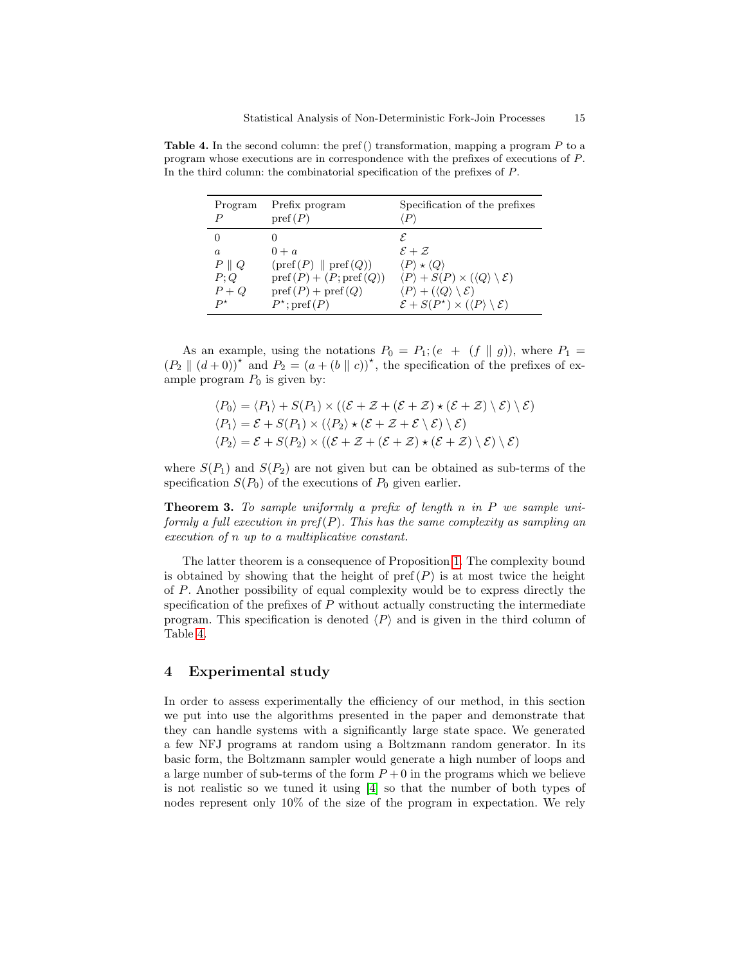| Program         | Prefix program<br>$\text{pref}(P)$          | Specification of the prefixes<br>$\langle P \rangle$                        |
|-----------------|---------------------------------------------|-----------------------------------------------------------------------------|
|                 |                                             |                                                                             |
| $\alpha$        | $0 + a$                                     | $\mathcal{E}+\mathcal{Z}$                                                   |
| $P \parallel Q$ | $(\text{pref}(P) \parallel \text{pref}(Q))$ | $\langle P \rangle \star \langle Q \rangle$                                 |
| P:Q             | $\text{pref}(P) + (P; \text{pref}(Q))$      | $\langle P \rangle + S(P) \times (\langle Q \rangle \setminus \mathcal{E})$ |
| $P+O$           | $\text{pref}(P)+\text{pref}(Q)$             | $\langle P \rangle + (\langle Q \rangle)$                                   |

<span id="page-14-1"></span>**Table 4.** In the second column: the pref () transformation, mapping a program  $P$  to a program whose executions are in correspondence with the prefixes of executions of P. In the third column: the combinatorial specification of the prefixes of P.

As an example, using the notations  $P_0 = P_1$ ;  $(e + (f || g))$ , where  $P_1 =$  $(P_2 \parallel (d+0))^*$  and  $P_2 = (a + (b \parallel c))^*$ , the specification of the prefixes of example program  $P_0$  is given by:

\*  $P^*$ ; pref  $(P)$   $\mathcal{E} + S(P^*) \times (\langle P \rangle \setminus \mathcal{E})$ 

$$
\langle P_0 \rangle = \langle P_1 \rangle + S(P_1) \times ((\mathcal{E} + \mathcal{Z} + (\mathcal{E} + \mathcal{Z}) \star (\mathcal{E} + \mathcal{Z}) \setminus \mathcal{E}) \setminus \mathcal{E})
$$
  

$$
\langle P_1 \rangle = \mathcal{E} + S(P_1) \times (\langle P_2 \rangle \star (\mathcal{E} + \mathcal{Z} + \mathcal{E} \setminus \mathcal{E}) \setminus \mathcal{E})
$$
  

$$
\langle P_2 \rangle = \mathcal{E} + S(P_2) \times ((\mathcal{E} + \mathcal{Z} + (\mathcal{E} + \mathcal{Z}) \star (\mathcal{E} + \mathcal{Z}) \setminus \mathcal{E}) \setminus \mathcal{E})
$$

where  $S(P_1)$  and  $S(P_2)$  are not given but can be obtained as sub-terms of the specification  $S(P_0)$  of the executions of  $P_0$  given earlier.

**Theorem 3.** To sample uniformly a prefix of length  $n$  in  $P$  we sample uniformly a full execution in  $pref(P)$ . This has the same complexity as sampling an execution of n up to a multiplicative constant.

The latter theorem is a consequence of Proposition [1.](#page-13-0) The complexity bound is obtained by showing that the height of  $\text{pref}(P)$  is at most twice the height of P. Another possibility of equal complexity would be to express directly the specification of the prefixes of  $P$  without actually constructing the intermediate program. This specification is denoted  $\langle P \rangle$  and is given in the third column of Table [4.](#page-14-1)

## <span id="page-14-0"></span>4 Experimental study

P

In order to assess experimentally the efficiency of our method, in this section we put into use the algorithms presented in the paper and demonstrate that they can handle systems with a significantly large state space. We generated a few NFJ programs at random using a Boltzmann random generator. In its basic form, the Boltzmann sampler would generate a high number of loops and a large number of sub-terms of the form  $P+0$  in the programs which we believe is not realistic so we tuned it using [\[4\]](#page-18-17) so that the number of both types of nodes represent only 10% of the size of the program in expectation. We rely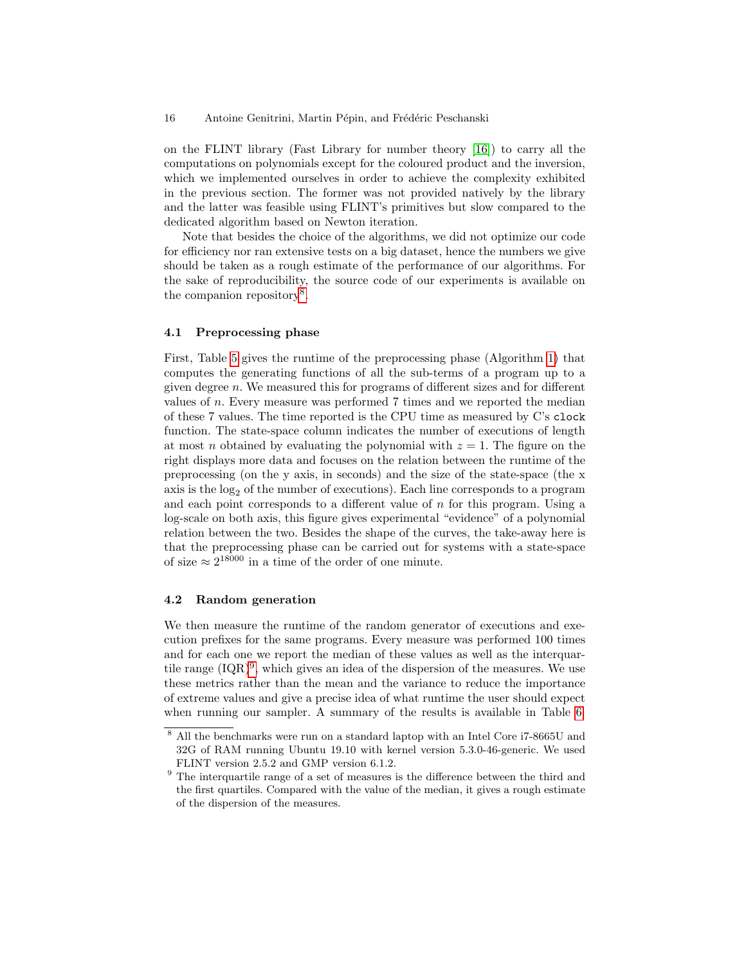on the FLINT library (Fast Library for number theory [\[16\]](#page-18-18)) to carry all the computations on polynomials except for the coloured product and the inversion, which we implemented ourselves in order to achieve the complexity exhibited in the previous section. The former was not provided natively by the library and the latter was feasible using FLINT's primitives but slow compared to the dedicated algorithm based on Newton iteration.

Note that besides the choice of the algorithms, we did not optimize our code for efficiency nor ran extensive tests on a big dataset, hence the numbers we give should be taken as a rough estimate of the performance of our algorithms. For the sake of reproducibility, the source code of our experiments is available on the companion repository<sup>[8](#page-15-1)</sup>.

## <span id="page-15-0"></span>4.1 Preprocessing phase

First, Table [5](#page-16-0) gives the runtime of the preprocessing phase (Algorithm [1\)](#page-9-0) that computes the generating functions of all the sub-terms of a program up to a given degree n. We measured this for programs of different sizes and for different values of  $n$ . Every measure was performed  $7$  times and we reported the median of these 7 values. The time reported is the CPU time as measured by C's clock function. The state-space column indicates the number of executions of length at most n obtained by evaluating the polynomial with  $z = 1$ . The figure on the right displays more data and focuses on the relation between the runtime of the preprocessing (on the y axis, in seconds) and the size of the state-space (the x axis is the  $log<sub>2</sub>$  of the number of executions). Each line corresponds to a program and each point corresponds to a different value of  $n$  for this program. Using a log-scale on both axis, this figure gives experimental "evidence" of a polynomial relation between the two. Besides the shape of the curves, the take-away here is that the preprocessing phase can be carried out for systems with a state-space of size  $\approx 2^{18000}$  in a time of the order of one minute.

#### 4.2 Random generation

We then measure the runtime of the random generator of executions and execution prefixes for the same programs. Every measure was performed 100 times and for each one we report the median of these values as well as the interquartile range  $(IQR)^9$  $(IQR)^9$ , which gives an idea of the dispersion of the measures. We use these metrics rather than the mean and the variance to reduce the importance of extreme values and give a precise idea of what runtime the user should expect when running our sampler. A summary of the results is available in Table [6.](#page-17-0)

<span id="page-15-1"></span><sup>8</sup> All the benchmarks were run on a standard laptop with an Intel Core i7-8665U and 32G of RAM running Ubuntu 19.10 with kernel version 5.3.0-46-generic. We used FLINT version 2.5.2 and GMP version 6.1.2.

<span id="page-15-2"></span> $9$  The interquartile range of a set of measures is the difference between the third and the first quartiles. Compared with the value of the median, it gives a rough estimate of the dispersion of the measures.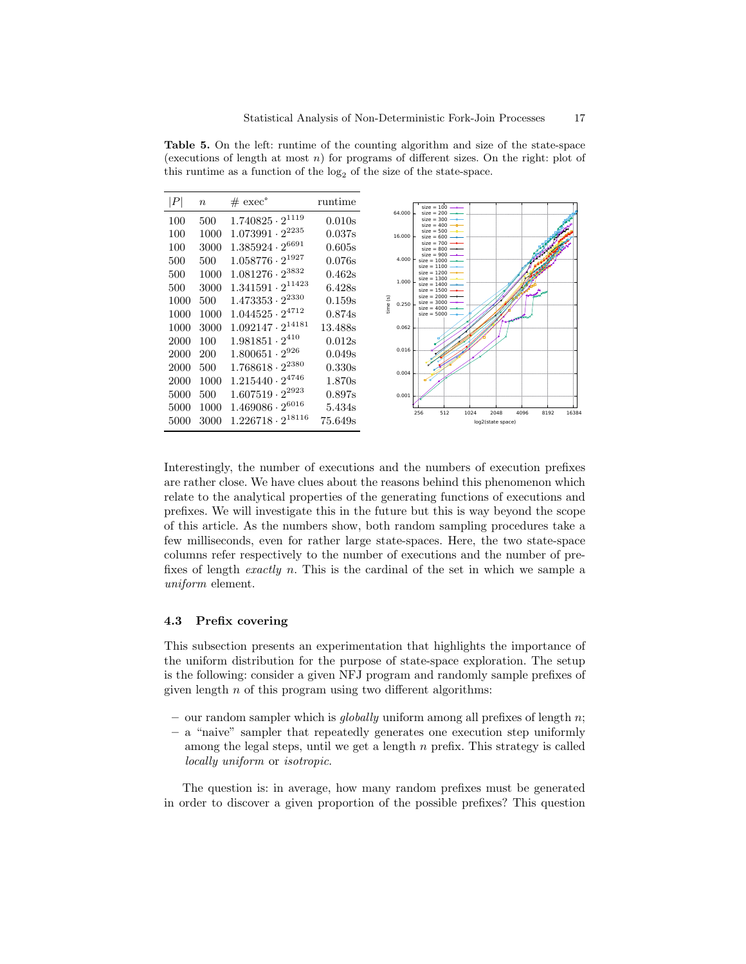<span id="page-16-0"></span>Table 5. On the left: runtime of the counting algorithm and size of the state-space (executions of length at most  $n$ ) for programs of different sizes. On the right: plot of this runtime as a function of the  $\log_2$  of the size of the state-space.



Interestingly, the number of executions and the numbers of execution prefixes are rather close. We have clues about the reasons behind this phenomenon which relate to the analytical properties of the generating functions of executions and prefixes. We will investigate this in the future but this is way beyond the scope of this article. As the numbers show, both random sampling procedures take a few milliseconds, even for rather large state-spaces. Here, the two state-space columns refer respectively to the number of executions and the number of prefixes of length exactly n. This is the cardinal of the set in which we sample a uniform element.

## 4.3 Prefix covering

This subsection presents an experimentation that highlights the importance of the uniform distribution for the purpose of state-space exploration. The setup is the following: consider a given NFJ program and randomly sample prefixes of given length  $n$  of this program using two different algorithms:

- our random sampler which is *globally* uniform among all prefixes of length  $n$ ;
- a "naive" sampler that repeatedly generates one execution step uniformly among the legal steps, until we get a length  $n$  prefix. This strategy is called locally uniform or isotropic.

The question is: in average, how many random prefixes must be generated in order to discover a given proportion of the possible prefixes? This question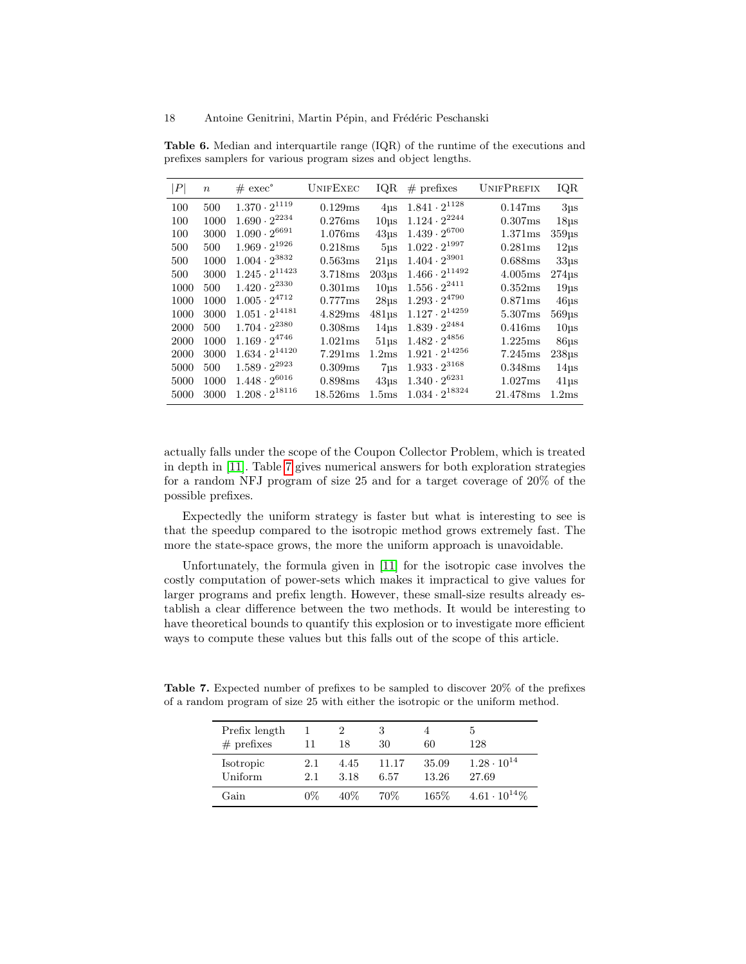| P    | $\boldsymbol{n}$ | $#$ exec $^{\circ}$     | <b>UNIFEXEC</b> | IQR               | $#$ prefixes            | <b>UNIFPREFIX</b> | IQR               |
|------|------------------|-------------------------|-----------------|-------------------|-------------------------|-------------------|-------------------|
| 100  | 500              | $1.370\cdot 2^{1119}$   | 0.129ms         | $4\mu s$          | $1.841\cdot2^{1128}$    | 0.147ms           | $3\mu s$          |
| 100  | 1000             | $1.690\cdot2^{2234}$    | 0.276ms         | $10\mu s$         | $1.124\cdot 2^{2244}$   | 0.307ms           | 18 <sub>µs</sub>  |
| 100  | 3000             | $1.090\cdot 2^{6691}$   | 1.076ms         | $43\mu s$         | $1.439\cdot 2^{6700}$   | 1.371ms           | 359 <sub>µs</sub> |
| 500  | 500              | $1.969\cdot2^{1926}$    | 0.218ms         | 5 <sub>µs</sub>   | $1.022\cdot 2^{1997}$   | 0.281ms           | $12\mu s$         |
| 500  | 1000             | $1.004\cdot2^{3832}$    | 0.563ms         | $21\mu s$         | $1.404\cdot2^{3901}$    | 0.688ms           | $33\mu s$         |
| 500  | 3000             | $1.245\cdot2^{11423}$   | 3.718ms         | 203 <sub>us</sub> | $1.466\cdot2^{11492}$   | 4.005ms           | 274 <sub>µs</sub> |
| 1000 | 500              | $1.420\cdot 2^{2330}$   | 0.301ms         | $10\mu s$         | $1.556\cdot2^{2411}$    | 0.352ms           | $19\mu s$         |
| 1000 | 1000             | $1.005\cdot2^{4712}$    | 0.777ms         | $28\mu s$         | $1.293\cdot2^{4790}$    | 0.871ms           | $46\mu s$         |
| 1000 | 3000             | $1.051 \cdot 2^{14181}$ | 4.829ms         | $481\,\mu s$      | $1.127 \cdot 2^{14259}$ | 5.307ms           | $569\mu s$        |
| 2000 | 500              | $1.704 \cdot 2^{2380}$  | 0.308ms         | $14\mu s$         | $1.839\cdot 2^{2484}$   | 0.416ms           | $10\mu s$         |
| 2000 | 1000             | $1.169\cdot2^{4746}$    | 1.021ms         | $51\mu s$         | $1.482\cdot 2^{4856}$   | 1.225ms           | $86\mu s$         |
| 2000 | 3000             | $1.634\cdot2^{14120}$   | 7.291ms         | 1.2ms             | $1.921 \cdot 2^{14256}$ | 7.245ms           | $238\mu s$        |
| 5000 | 500              | $1.589\cdot 2^{2923}$   | 0.309ms         | $7\mu s$          | $1.933\cdot 2^{3168}$   | 0.348ms           | $14\mu s$         |
| 5000 | 1000             | $1.448\cdot2^{6016}$    | 0.898ms         | $43\mu s$         | $1.340\cdot 2^{6231}$   | 1.027ms           | $41\,\mu s$       |
| 5000 | 3000             | $1.208\cdot2^{18116}$   | 18.526ms        | 1.5 <sub>ms</sub> | $1.034 \cdot 2^{18324}$ | 21.478ms          | 1.2ms             |

<span id="page-17-0"></span>Table 6. Median and interquartile range (IQR) of the runtime of the executions and prefixes samplers for various program sizes and object lengths.

actually falls under the scope of the Coupon Collector Problem, which is treated in depth in [\[11\]](#page-18-19). Table [7](#page-17-1) gives numerical answers for both exploration strategies for a random NFJ program of size 25 and for a target coverage of 20% of the possible prefixes.

Expectedly the uniform strategy is faster but what is interesting to see is that the speedup compared to the isotropic method grows extremely fast. The more the state-space grows, the more the uniform approach is unavoidable.

Unfortunately, the formula given in [\[11\]](#page-18-19) for the isotropic case involves the costly computation of power-sets which makes it impractical to give values for larger programs and prefix length. However, these small-size results already establish a clear difference between the two methods. It would be interesting to have theoretical bounds to quantify this explosion or to investigate more efficient ways to compute these values but this falls out of the scope of this article.

| Prefix length<br>$#$ prefixes | 11         | 18           | 3<br>30       | 60             | 5<br>128                      |
|-------------------------------|------------|--------------|---------------|----------------|-------------------------------|
| Isotropic<br>Uniform          | 2.1<br>2.1 | 4.45<br>3.18 | 11.17<br>6.57 | 35.09<br>13.26 | $1.28 \cdot 10^{14}$<br>27.69 |
| Gain                          | 0%         | 40%          | 70\%          | 165\%          | $4.61 \cdot 10^{14}\%$        |

<span id="page-17-1"></span>Table 7. Expected number of prefixes to be sampled to discover 20% of the prefixes of a random program of size 25 with either the isotropic or the uniform method.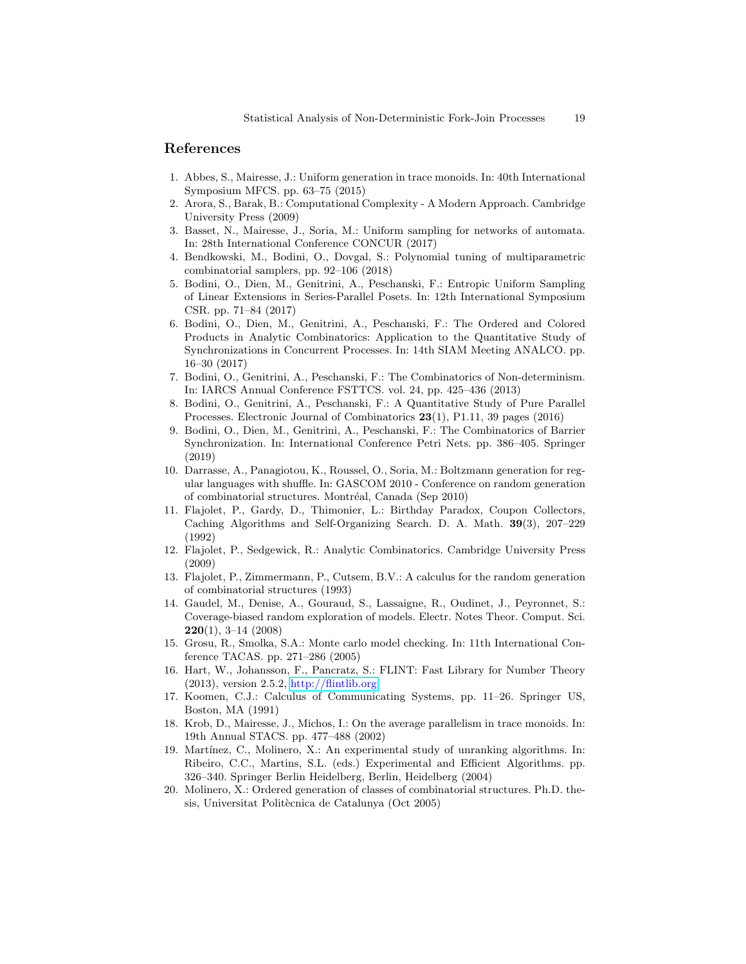# References

- <span id="page-18-6"></span>1. Abbes, S., Mairesse, J.: Uniform generation in trace monoids. In: 40th International Symposium MFCS. pp. 63–75 (2015)
- <span id="page-18-4"></span>2. Arora, S., Barak, B.: Computational Complexity - A Modern Approach. Cambridge University Press (2009)
- <span id="page-18-7"></span>3. Basset, N., Mairesse, J., Soria, M.: Uniform sampling for networks of automata. In: 28th International Conference CONCUR (2017)
- <span id="page-18-17"></span>4. Bendkowski, M., Bodini, O., Dovgal, S.: Polynomial tuning of multiparametric combinatorial samplers, pp. 92–106 (2018)
- <span id="page-18-10"></span>5. Bodini, O., Dien, M., Genitrini, A., Peschanski, F.: Entropic Uniform Sampling of Linear Extensions in Series-Parallel Posets. In: 12th International Symposium CSR. pp. 71–84 (2017)
- <span id="page-18-13"></span>6. Bodini, O., Dien, M., Genitrini, A., Peschanski, F.: The Ordered and Colored Products in Analytic Combinatorics: Application to the Quantitative Study of Synchronizations in Concurrent Processes. In: 14th SIAM Meeting ANALCO. pp. 16–30 (2017)
- <span id="page-18-2"></span>7. Bodini, O., Genitrini, A., Peschanski, F.: The Combinatorics of Non-determinism. In: IARCS Annual Conference FSTTCS. vol. 24, pp. 425–436 (2013)
- <span id="page-18-1"></span>8. Bodini, O., Genitrini, A., Peschanski, F.: A Quantitative Study of Pure Parallel Processes. Electronic Journal of Combinatorics 23(1), P1.11, 39 pages (2016)
- <span id="page-18-3"></span>9. Bodini, O., Dien, M., Genitrini, A., Peschanski, F.: The Combinatorics of Barrier Synchronization. In: International Conference Petri Nets. pp. 386–405. Springer (2019)
- <span id="page-18-9"></span>10. Darrasse, A., Panagiotou, K., Roussel, O., Soria, M.: Boltzmann generation for regular languages with shuffle. In: GASCOM 2010 - Conference on random generation of combinatorial structures. Montréal, Canada (Sep 2010)
- <span id="page-18-19"></span>11. Flajolet, P., Gardy, D., Thimonier, L.: Birthday Paradox, Coupon Collectors, Caching Algorithms and Self-Organizing Search. D. A. Math. 39(3), 207–229 (1992)
- <span id="page-18-12"></span>12. Flajolet, P., Sedgewick, R.: Analytic Combinatorics. Cambridge University Press (2009)
- <span id="page-18-14"></span>13. Flajolet, P., Zimmermann, P., Cutsem, B.V.: A calculus for the random generation of combinatorial structures (1993)
- <span id="page-18-0"></span>14. Gaudel, M., Denise, A., Gouraud, S., Lassaigne, R., Oudinet, J., Peyronnet, S.: Coverage-biased random exploration of models. Electr. Notes Theor. Comput. Sci. 220(1), 3–14 (2008)
- <span id="page-18-8"></span>15. Grosu, R., Smolka, S.A.: Monte carlo model checking. In: 11th International Conference TACAS. pp. 271–286 (2005)
- <span id="page-18-18"></span>16. Hart, W., Johansson, F., Pancratz, S.: FLINT: Fast Library for Number Theory (2013), version 2.5.2, <http://flintlib.org>
- <span id="page-18-11"></span>17. Koomen, C.J.: Calculus of Communicating Systems, pp. 11–26. Springer US, Boston, MA (1991)
- <span id="page-18-5"></span>18. Krob, D., Mairesse, J., Michos, I.: On the average parallelism in trace monoids. In: 19th Annual STACS. pp. 477–488 (2002)
- <span id="page-18-16"></span>19. Martínez, C., Molinero, X.: An experimental study of unranking algorithms. In: Ribeiro, C.C., Martins, S.L. (eds.) Experimental and Efficient Algorithms. pp. 326–340. Springer Berlin Heidelberg, Berlin, Heidelberg (2004)
- <span id="page-18-15"></span>20. Molinero, X.: Ordered generation of classes of combinatorial structures. Ph.D. thesis, Universitat Politècnica de Catalunya (Oct 2005)